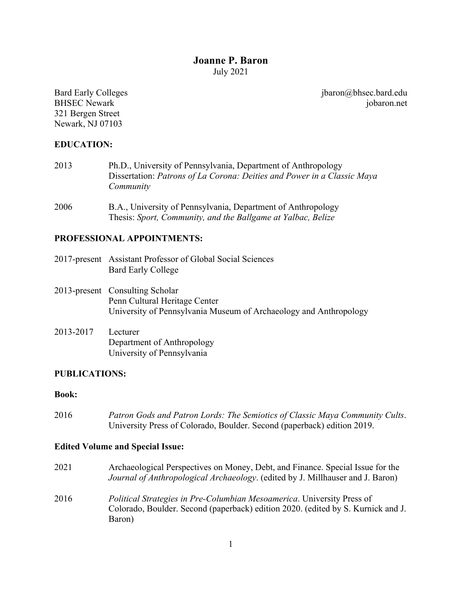## **Joanne P. Baron** July 2021

Bard Early Colleges BHSEC Newark 321 Bergen Street Newark, NJ 07103

jbaron@bhsec.bard.edu jobaron.net

### **EDUCATION:**

- 2013 Ph.D., University of Pennsylvania, Department of Anthropology Dissertation: *Patrons of La Corona: Deities and Power in a Classic Maya Community*
- 2006 B.A., University of Pennsylvania, Department of Anthropology Thesis: *Sport, Community, and the Ballgame at Yalbac, Belize*

### **PROFESSIONAL APPOINTMENTS:**

- 2017-present Assistant Professor of Global Social Sciences Bard Early College
- 2013-present Consulting Scholar Penn Cultural Heritage Center University of Pennsylvania Museum of Archaeology and Anthropology
- 2013-2017 Lecturer Department of Anthropology University of Pennsylvania

### **PUBLICATIONS:**

#### **Book:**

2016 *Patron Gods and Patron Lords: The Semiotics of Classic Maya Community Cults*. University Press of Colorado, Boulder. Second (paperback) edition 2019.

#### **Edited Volume and Special Issue:**

- 2021 Archaeological Perspectives on Money, Debt, and Finance. Special Issue for the *Journal of Anthropological Archaeology*. (edited by J. Millhauser and J. Baron)
- 2016 *Political Strategies in Pre-Columbian Mesoamerica*. University Press of Colorado, Boulder. Second (paperback) edition 2020. (edited by S. Kurnick and J. Baron)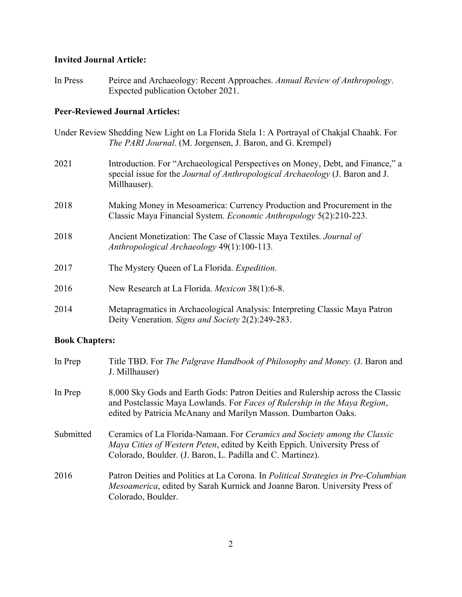### **Invited Journal Article:**

In Press Peirce and Archaeology: Recent Approaches. *Annual Review of Anthropology*. Expected publication October 2021.

### **Peer-Reviewed Journal Articles:**

- Under Review Shedding New Light on La Florida Stela 1: A Portrayal of Chakjal Chaahk. For *The PARI Journal*. (M. Jorgensen, J. Baron, and G. Krempel)
- 2021 Introduction. For "Archaeological Perspectives on Money, Debt, and Finance," a special issue for the *Journal of Anthropological Archaeology* (J. Baron and J. Millhauser).
- 2018 Making Money in Mesoamerica: Currency Production and Procurement in the Classic Maya Financial System. *Economic Anthropology* 5(2):210-223.
- 2018 Ancient Monetization: The Case of Classic Maya Textiles. *Journal of Anthropological Archaeology* 49(1):100-113*.*
- 2017 The Mystery Queen of La Florida. *Expedition*.
- 2016 New Research at La Florida. *Mexicon* 38(1):6-8.
- 2014 Metapragmatics in Archaeological Analysis: Interpreting Classic Maya Patron Deity Veneration. *Signs and Society* 2(2):249-283.

## **Book Chapters:**

| In Prep   | Title TBD. For The Palgrave Handbook of Philosophy and Money. (J. Baron and<br>J. Millhauser)                                                                                                                                 |
|-----------|-------------------------------------------------------------------------------------------------------------------------------------------------------------------------------------------------------------------------------|
| In Prep   | 8,000 Sky Gods and Earth Gods: Patron Deities and Rulership across the Classic<br>and Postclassic Maya Lowlands. For Faces of Rulership in the Maya Region,<br>edited by Patricia McAnany and Marilyn Masson. Dumbarton Oaks. |
| Submitted | Ceramics of La Florida-Namaan. For Ceramics and Society among the Classic<br>Maya Cities of Western Peten, edited by Keith Eppich. University Press of<br>Colorado, Boulder. (J. Baron, L. Padilla and C. Martinez).          |
| 2016      | Patron Deities and Politics at La Corona. In Political Strategies in Pre-Columbian<br>Mesoamerica, edited by Sarah Kurnick and Joanne Baron. University Press of<br>Colorado, Boulder.                                        |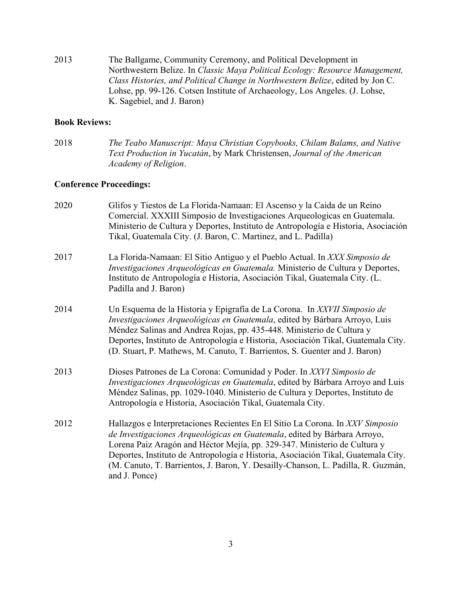2013 The Ballgame, Community Ceremony, and Political Development in Northwestern Belize. In *Classic Maya Political Ecology: Resource Management, Class Histories, and Political Change in Northwestern Belize*, edited by Jon C. Lohse, pp. 99-126. Cotsen Institute of Archaeology, Los Angeles. (J. Lohse, K. Sagebiel, and J. Baron)

### **Book Reviews:**

2018 *The Teabo Manuscript: Maya Christian Copybooks, Chilam Balams, and Native Text Production in Yucatán*, by Mark Christensen, *Journal of the American Academy of Religion*.

### **Conference Proceedings:**

| 2020 | Glifos y Tiestos de La Florida-Namaan: El Ascenso y la Caida de un Reino<br>Comercial. XXXIII Simposio de Investigaciones Arqueologicas en Guatemala.<br>Ministerio de Cultura y Deportes, Instituto de Antropología e Historia, Asociación<br>Tikal, Guatemala City. (J. Baron, C. Martinez, and L. Padilla)                                                                                                                    |
|------|----------------------------------------------------------------------------------------------------------------------------------------------------------------------------------------------------------------------------------------------------------------------------------------------------------------------------------------------------------------------------------------------------------------------------------|
| 2017 | La Florida-Namaan: El Sitio Antiguo y el Pueblo Actual. In XXX Simposio de<br>Investigaciones Arqueológicas en Guatemala. Ministerio de Cultura y Deportes,<br>Instituto de Antropología e Historia, Asociación Tikal, Guatemala City. (L.<br>Padilla and J. Baron)                                                                                                                                                              |
| 2014 | Un Esquema de la Historia y Epigrafía de La Corona. In XXVII Simposio de<br>Investigaciones Arqueológicas en Guatemala, edited by Bárbara Arroyo, Luis<br>Méndez Salinas and Andrea Rojas, pp. 435-448. Ministerio de Cultura y<br>Deportes, Instituto de Antropología e Historia, Asociación Tikal, Guatemala City.<br>(D. Stuart, P. Mathews, M. Canuto, T. Barrientos, S. Guenter and J. Baron)                               |
| 2013 | Dioses Patrones de La Corona: Comunidad y Poder. In XXVI Simposio de<br>Investigaciones Arqueológicas en Guatemala, edited by Bárbara Arroyo and Luis<br>Méndez Salinas, pp. 1029-1040. Ministerio de Cultura y Deportes, Instituto de<br>Antropología e Historia, Asociación Tikal, Guatemala City.                                                                                                                             |
| 2012 | Hallazgos e Interpretaciones Recientes En El Sitio La Corona. In XXV Simposio<br>de Investigaciones Arqueológicas en Guatemala, edited by Bárbara Arroyo,<br>Lorena Paiz Aragón and Héctor Mejía, pp. 329-347. Ministerio de Cultura y<br>Deportes, Instituto de Antropología e Historia, Asociación Tikal, Guatemala City.<br>(M. Canuto, T. Barrientos, J. Baron, Y. Desailly-Chanson, L. Padilla, R. Guzmán,<br>and J. Ponce) |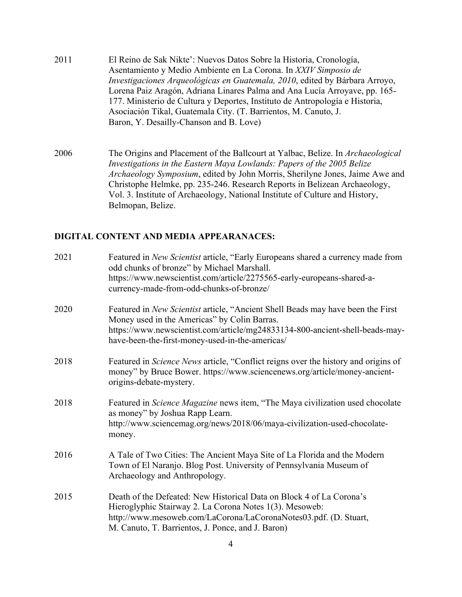- 2011 El Reino de Sak Nikte': Nuevos Datos Sobre la Historia, Cronología, Asentamiento y Medio Ambiente en La Corona. In *XXIV Simposio de Investigaciones Arqueológicas en Guatemala, 2010*, edited by Bárbara Arroyo, Lorena Paiz Aragón, Adriana Linares Palma and Ana Lucía Arroyave, pp. 165- 177. Ministerio de Cultura y Deportes, Instituto de Antropología e Historia, Asociación Tikal, Guatemala City. (T. Barrientos, M. Canuto, J. Baron, Y. Desailly-Chanson and B. Love)
- 2006 The Origins and Placement of the Ballcourt at Yalbac, Belize. In *Archaeological Investigations in the Eastern Maya Lowlands: Papers of the 2005 Belize Archaeology Symposium*, edited by John Morris, Sherilyne Jones, Jaime Awe and Christophe Helmke, pp. 235-246. Research Reports in Belizean Archaeology, Vol. 3. Institute of Archaeology, National Institute of Culture and History, Belmopan, Belize.

## **DIGITAL CONTENT AND MEDIA APPEARANACES:**

| 2021 | Featured in New Scientist article, "Early Europeans shared a currency made from<br>odd chunks of bronze" by Michael Marshall.<br>https://www.newscientist.com/article/2275565-early-europeans-shared-a-<br>currency-made-from-odd-chunks-of-bronze/                |
|------|--------------------------------------------------------------------------------------------------------------------------------------------------------------------------------------------------------------------------------------------------------------------|
| 2020 | Featured in New Scientist article, "Ancient Shell Beads may have been the First<br>Money used in the Americas" by Colin Barras.<br>https://www.newscientist.com/article/mg24833134-800-ancient-shell-beads-may-<br>have-been-the-first-money-used-in-the-americas/ |
| 2018 | Featured in Science News article, "Conflict reigns over the history and origins of<br>money" by Bruce Bower. https://www.sciencenews.org/article/money-ancient-<br>origins-debate-mystery.                                                                         |
| 2018 | Featured in <i>Science Magazine</i> news item, "The Maya civilization used chocolate"<br>as money" by Joshua Rapp Learn.<br>http://www.sciencemag.org/news/2018/06/maya-civilization-used-chocolate-<br>money.                                                     |
| 2016 | A Tale of Two Cities: The Ancient Maya Site of La Florida and the Modern<br>Town of El Naranjo. Blog Post. University of Pennsylvania Museum of<br>Archaeology and Anthropology.                                                                                   |
| 2015 | Death of the Defeated: New Historical Data on Block 4 of La Corona's<br>Hieroglyphic Stairway 2. La Corona Notes 1(3). Mesoweb:<br>http://www.mesoweb.com/LaCorona/LaCoronaNotes03.pdf. (D. Stuart,<br>M. Canuto, T. Barrientos, J. Ponce, and J. Baron)           |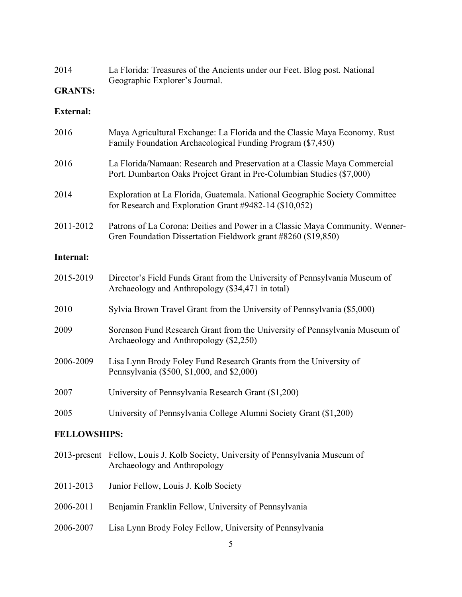| 2014 | La Florida: Treasures of the Ancients under our Feet. Blog post. National |
|------|---------------------------------------------------------------------------|
|      | Geographic Explorer's Journal.                                            |

## **GRANTS:**

### **External:**

| 2016      | Maya Agricultural Exchange: La Florida and the Classic Maya Economy. Rust<br>Family Foundation Archaeological Funding Program (\$7,450)            |
|-----------|----------------------------------------------------------------------------------------------------------------------------------------------------|
| 2016      | La Florida/Namaan: Research and Preservation at a Classic Maya Commercial<br>Port. Dumbarton Oaks Project Grant in Pre-Columbian Studies (\$7,000) |
| 2014      | Exploration at La Florida, Guatemala. National Geographic Society Committee<br>for Research and Exploration Grant #9482-14 (\$10,052)              |
| 2011-2012 | Patrons of La Corona: Deities and Power in a Classic Maya Community. Wenner-<br>Gren Foundation Dissertation Fieldwork grant #8260 (\$19,850)      |
| Internal: |                                                                                                                                                    |
| 2015-2019 | Director's Field Funds Grant from the University of Pennsylvania Museum of<br>Archaeology and Anthropology (\$34,471 in total)                     |
| 2010      | Sylvia Brown Travel Grant from the University of Pennsylvania (\$5,000)                                                                            |
| 2009      | Sorenson Fund Research Grant from the University of Pennsylvania Museum of<br>Archaeology and Anthropology (\$2,250)                               |
| 2006-2009 | Lisa Lynn Brody Foley Fund Research Grants from the University of<br>Pennsylvania (\$500, \$1,000, and \$2,000)                                    |
| 2007      | University of Pennsylvania Research Grant (\$1,200)                                                                                                |
| 2005      | University of Pennsylvania College Alumni Society Grant (\$1,200)                                                                                  |
|           |                                                                                                                                                    |

## **FELLOWSHIPS:**

- 2013-present Fellow, Louis J. Kolb Society, University of Pennsylvania Museum of Archaeology and Anthropology
- 2011-2013 Junior Fellow, Louis J. Kolb Society
- 2006-2011 Benjamin Franklin Fellow, University of Pennsylvania
- 2006-2007 Lisa Lynn Brody Foley Fellow, University of Pennsylvania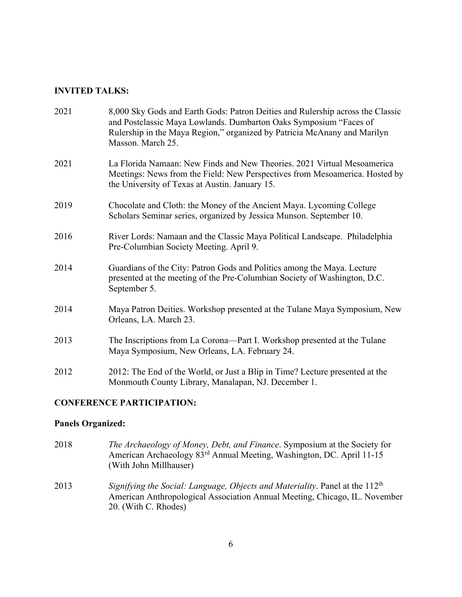# **INVITED TALKS:**

| 2021 | 8,000 Sky Gods and Earth Gods: Patron Deities and Rulership across the Classic<br>and Postclassic Maya Lowlands. Dumbarton Oaks Symposium "Faces of<br>Rulership in the Maya Region," organized by Patricia McAnany and Marilyn<br>Masson. March 25. |
|------|------------------------------------------------------------------------------------------------------------------------------------------------------------------------------------------------------------------------------------------------------|
| 2021 | La Florida Namaan: New Finds and New Theories. 2021 Virtual Mesoamerica<br>Meetings: News from the Field: New Perspectives from Mesoamerica. Hosted by<br>the University of Texas at Austin. January 15.                                             |
| 2019 | Chocolate and Cloth: the Money of the Ancient Maya. Lycoming College<br>Scholars Seminar series, organized by Jessica Munson. September 10.                                                                                                          |
| 2016 | River Lords: Namaan and the Classic Maya Political Landscape. Philadelphia<br>Pre-Columbian Society Meeting. April 9.                                                                                                                                |
| 2014 | Guardians of the City: Patron Gods and Politics among the Maya. Lecture<br>presented at the meeting of the Pre-Columbian Society of Washington, D.C.<br>September 5.                                                                                 |
| 2014 | Maya Patron Deities. Workshop presented at the Tulane Maya Symposium, New<br>Orleans, LA. March 23.                                                                                                                                                  |
| 2013 | The Inscriptions from La Corona—Part I. Workshop presented at the Tulane<br>Maya Symposium, New Orleans, LA. February 24.                                                                                                                            |
| 2012 | 2012: The End of the World, or Just a Blip in Time? Lecture presented at the<br>Monmouth County Library, Manalapan, NJ. December 1.                                                                                                                  |

# **CONFERENCE PARTICIPATION:**

# **Panels Organized:**

| 2018 | <i>The Archaeology of Money, Debt, and Finance.</i> Symposium at the Society for<br>American Archaeology 83 <sup>rd</sup> Annual Meeting, Washington, DC. April 11-15<br>(With John Millhauser) |
|------|-------------------------------------------------------------------------------------------------------------------------------------------------------------------------------------------------|
| 2013 | Signifying the Social: Language, Objects and Materiality. Panel at the 112 <sup>th</sup><br>American Anthropological Association Annual Meeting, Chicago, IL. November<br>20. (With C. Rhodes)  |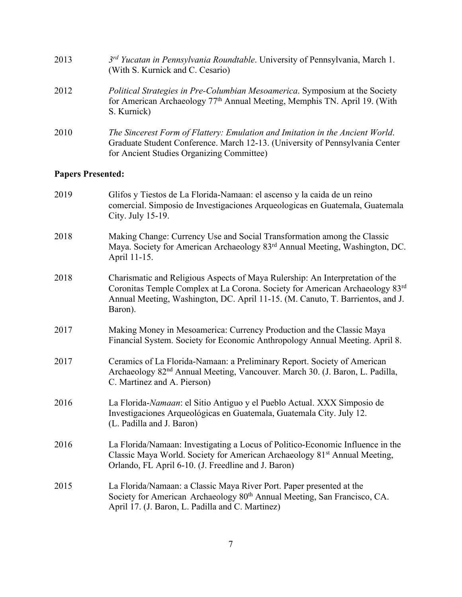| 2013 | 3rd Yucatan in Pennsylvania Roundtable. University of Pennsylvania, March 1.<br>(With S. Kurnick and C. Cesario)                                                                                           |
|------|------------------------------------------------------------------------------------------------------------------------------------------------------------------------------------------------------------|
| 2012 | <i>Political Strategies in Pre-Columbian Mesoamerica. Symposium at the Society</i><br>for American Archaeology 77 <sup>th</sup> Annual Meeting, Memphis TN. April 19. (With<br>S. Kurnick)                 |
| 2010 | The Sincerest Form of Flattery: Emulation and Imitation in the Ancient World.<br>Graduate Student Conference. March 12-13. (University of Pennsylvania Center<br>for Ancient Studies Organizing Committee) |

# **Papers Presented:**

| 2019 | Glifos y Tiestos de La Florida-Namaan: el ascenso y la caida de un reino<br>comercial. Simposio de Investigaciones Arqueologicas en Guatemala, Guatemala<br>City. July 15-19.                                                                              |
|------|------------------------------------------------------------------------------------------------------------------------------------------------------------------------------------------------------------------------------------------------------------|
| 2018 | Making Change: Currency Use and Social Transformation among the Classic<br>Maya. Society for American Archaeology 83 <sup>rd</sup> Annual Meeting, Washington, DC.<br>April 11-15.                                                                         |
| 2018 | Charismatic and Religious Aspects of Maya Rulership: An Interpretation of the<br>Coronitas Temple Complex at La Corona. Society for American Archaeology 83rd<br>Annual Meeting, Washington, DC. April 11-15. (M. Canuto, T. Barrientos, and J.<br>Baron). |
| 2017 | Making Money in Mesoamerica: Currency Production and the Classic Maya<br>Financial System. Society for Economic Anthropology Annual Meeting. April 8.                                                                                                      |
| 2017 | Ceramics of La Florida-Namaan: a Preliminary Report. Society of American<br>Archaeology 82 <sup>nd</sup> Annual Meeting, Vancouver. March 30. (J. Baron, L. Padilla,<br>C. Martinez and A. Pierson)                                                        |
| 2016 | La Florida-Namaan: el Sitio Antiguo y el Pueblo Actual. XXX Simposio de<br>Investigaciones Arqueológicas en Guatemala, Guatemala City. July 12.<br>(L. Padilla and J. Baron)                                                                               |
| 2016 | La Florida/Namaan: Investigating a Locus of Politico-Economic Influence in the<br>Classic Maya World. Society for American Archaeology 81 <sup>st</sup> Annual Meeting,<br>Orlando, FL April 6-10. (J. Freedline and J. Baron)                             |
| 2015 | La Florida/Namaan: a Classic Maya River Port. Paper presented at the<br>Society for American Archaeology 80 <sup>th</sup> Annual Meeting, San Francisco, CA.<br>April 17. (J. Baron, L. Padilla and C. Martinez)                                           |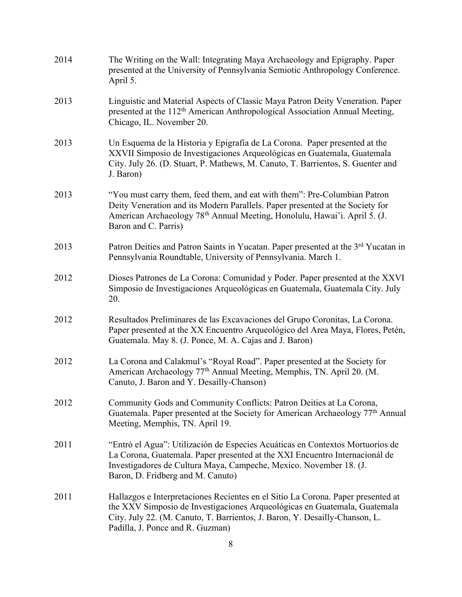| 2014 | The Writing on the Wall: Integrating Maya Archaeology and Epigraphy. Paper<br>presented at the University of Pennsylvania Semiotic Anthropology Conference.<br>April 5.                                                                                                          |
|------|----------------------------------------------------------------------------------------------------------------------------------------------------------------------------------------------------------------------------------------------------------------------------------|
| 2013 | Linguistic and Material Aspects of Classic Maya Patron Deity Veneration. Paper<br>presented at the 112 <sup>th</sup> American Anthropological Association Annual Meeting,<br>Chicago, IL. November 20.                                                                           |
| 2013 | Un Esquema de la Historia y Epigrafía de La Corona. Paper presented at the<br>XXVII Simposio de Investigaciones Arqueológicas en Guatemala, Guatemala<br>City. July 26. (D. Stuart, P. Mathews, M. Canuto, T. Barrientos, S. Guenter and<br>J. Baron)                            |
| 2013 | "You must carry them, feed them, and eat with them": Pre-Columbian Patron<br>Deity Veneration and its Modern Parallels. Paper presented at the Society for<br>American Archaeology 78 <sup>th</sup> Annual Meeting, Honolulu, Hawai'i. April 5. (J.<br>Baron and C. Parris)      |
| 2013 | Patron Deities and Patron Saints in Yucatan. Paper presented at the 3 <sup>rd</sup> Yucatan in<br>Pennsylvania Roundtable, University of Pennsylvania. March 1.                                                                                                                  |
| 2012 | Dioses Patrones de La Corona: Comunidad y Poder. Paper presented at the XXVI<br>Simposio de Investigaciones Arqueológicas en Guatemala, Guatemala City. July<br>20.                                                                                                              |
| 2012 | Resultados Preliminares de las Excavaciones del Grupo Coronitas, La Corona.<br>Paper presented at the XX Encuentro Arqueológico del Area Maya, Flores, Petén,<br>Guatemala. May 8. (J. Ponce, M. A. Cajas and J. Baron)                                                          |
| 2012 | La Corona and Calakmul's "Royal Road". Paper presented at the Society for<br>American Archaeology 77 <sup>th</sup> Annual Meeting, Memphis, TN. April 20. (M.<br>Canuto, J. Baron and Y. Desailly-Chanson)                                                                       |
| 2012 | Community Gods and Community Conflicts: Patron Deities at La Corona,<br>Guatemala. Paper presented at the Society for American Archaeology 77 <sup>th</sup> Annual<br>Meeting, Memphis, TN. April 19.                                                                            |
| 2011 | "Entró el Agua": Utilización de Especies Acuáticas en Contextos Mortuorios de<br>La Corona, Guatemala. Paper presented at the XXI Encuentro Internacionál de<br>Investigadores de Cultura Maya, Campeche, Mexico. November 18. (J.<br>Baron, D. Fridberg and M. Canuto)          |
| 2011 | Hallazgos e Interpretaciones Recientes en el Sitio La Corona. Paper presented at<br>the XXV Simposio de Investigaciones Arqueológicas en Guatemala, Guatemala<br>City. July 22. (M. Canuto, T. Barrientos, J. Baron, Y. Desailly-Chanson, L.<br>Padilla, J. Ponce and R. Guzman) |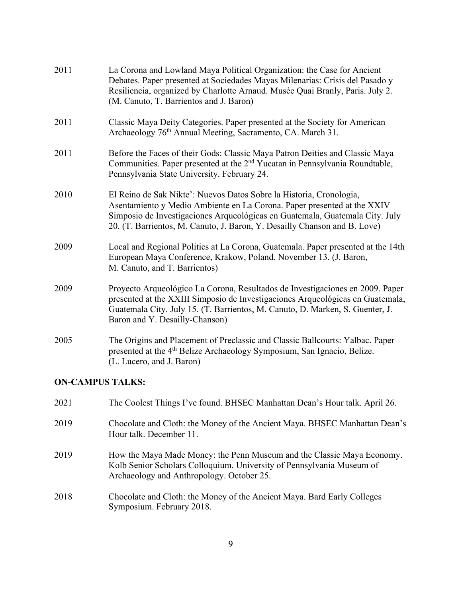| 2011 | La Corona and Lowland Maya Political Organization: the Case for Ancient<br>Debates. Paper presented at Sociedades Mayas Milenarias: Crisis del Pasado y<br>Resiliencia, organized by Charlotte Arnaud. Musée Quai Branly, Paris. July 2.<br>(M. Canuto, T. Barrientos and J. Baron)                         |
|------|-------------------------------------------------------------------------------------------------------------------------------------------------------------------------------------------------------------------------------------------------------------------------------------------------------------|
| 2011 | Classic Maya Deity Categories. Paper presented at the Society for American<br>Archaeology 76 <sup>th</sup> Annual Meeting, Sacramento, CA. March 31.                                                                                                                                                        |
| 2011 | Before the Faces of their Gods: Classic Maya Patron Deities and Classic Maya<br>Communities. Paper presented at the 2 <sup>nd</sup> Yucatan in Pennsylvania Roundtable,<br>Pennsylvania State University. February 24.                                                                                      |
| 2010 | El Reino de Sak Nikte': Nuevos Datos Sobre la Historia, Cronologia,<br>Asentamiento y Medio Ambiente en La Corona. Paper presented at the XXIV<br>Simposio de Investigaciones Arqueológicas en Guatemala, Guatemala City. July<br>20. (T. Barrientos, M. Canuto, J. Baron, Y. Desailly Chanson and B. Love) |
| 2009 | Local and Regional Politics at La Corona, Guatemala. Paper presented at the 14th<br>European Maya Conference, Krakow, Poland. November 13. (J. Baron,<br>M. Canuto, and T. Barrientos)                                                                                                                      |
| 2009 | Proyecto Arqueológico La Corona, Resultados de Investigaciones en 2009. Paper<br>presented at the XXIII Simposio de Investigaciones Arqueológicas en Guatemala,<br>Guatemala City. July 15. (T. Barrientos, M. Canuto, D. Marken, S. Guenter, J.<br>Baron and Y. Desailly-Chanson)                          |
| 2005 | The Origins and Placement of Preclassic and Classic Ballcourts: Yalbac. Paper<br>presented at the 4 <sup>th</sup> Belize Archaeology Symposium, San Ignacio, Belize.<br>(L. Lucero, and J. Baron)                                                                                                           |

# **ON-CAMPUS TALKS:**

| 2021 | The Coolest Things I've found. BHSEC Manhattan Dean's Hour talk. April 26.                                                                                                                   |
|------|----------------------------------------------------------------------------------------------------------------------------------------------------------------------------------------------|
| 2019 | Chocolate and Cloth: the Money of the Ancient Maya. BHSEC Manhattan Dean's<br>Hour talk. December 11.                                                                                        |
| 2019 | How the Maya Made Money: the Penn Museum and the Classic Maya Economy.<br>Kolb Senior Scholars Colloquium. University of Pennsylvania Museum of<br>Archaeology and Anthropology. October 25. |
| 2018 | Chocolate and Cloth: the Money of the Ancient Maya. Bard Early Colleges<br>Symposium. February 2018.                                                                                         |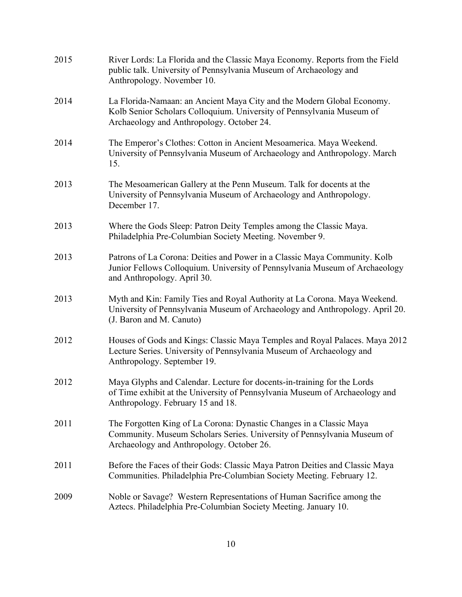| 2015 | River Lords: La Florida and the Classic Maya Economy. Reports from the Field<br>public talk. University of Pennsylvania Museum of Archaeology and<br>Anthropology. November 10.              |
|------|----------------------------------------------------------------------------------------------------------------------------------------------------------------------------------------------|
| 2014 | La Florida-Namaan: an Ancient Maya City and the Modern Global Economy.<br>Kolb Senior Scholars Colloquium. University of Pennsylvania Museum of<br>Archaeology and Anthropology. October 24. |
| 2014 | The Emperor's Clothes: Cotton in Ancient Mesoamerica. Maya Weekend.<br>University of Pennsylvania Museum of Archaeology and Anthropology. March<br>15.                                       |
| 2013 | The Mesoamerican Gallery at the Penn Museum. Talk for docents at the<br>University of Pennsylvania Museum of Archaeology and Anthropology.<br>December 17.                                   |
| 2013 | Where the Gods Sleep: Patron Deity Temples among the Classic Maya.<br>Philadelphia Pre-Columbian Society Meeting. November 9.                                                                |
| 2013 | Patrons of La Corona: Deities and Power in a Classic Maya Community. Kolb<br>Junior Fellows Colloquium. University of Pennsylvania Museum of Archaeology<br>and Anthropology. April 30.      |
| 2013 | Myth and Kin: Family Ties and Royal Authority at La Corona. Maya Weekend.<br>University of Pennsylvania Museum of Archaeology and Anthropology. April 20.<br>(J. Baron and M. Canuto)        |
| 2012 | Houses of Gods and Kings: Classic Maya Temples and Royal Palaces. Maya 2012<br>Lecture Series. University of Pennsylvania Museum of Archaeology and<br>Anthropology. September 19.           |
| 2012 | Maya Glyphs and Calendar. Lecture for docents-in-training for the Lords<br>of Time exhibit at the University of Pennsylvania Museum of Archaeology and<br>Anthropology. February 15 and 18.  |
| 2011 | The Forgotten King of La Corona: Dynastic Changes in a Classic Maya<br>Community. Museum Scholars Series. University of Pennsylvania Museum of<br>Archaeology and Anthropology. October 26.  |
| 2011 | Before the Faces of their Gods: Classic Maya Patron Deities and Classic Maya<br>Communities. Philadelphia Pre-Columbian Society Meeting. February 12.                                        |
| 2009 | Noble or Savage? Western Representations of Human Sacrifice among the<br>Aztecs. Philadelphia Pre-Columbian Society Meeting. January 10.                                                     |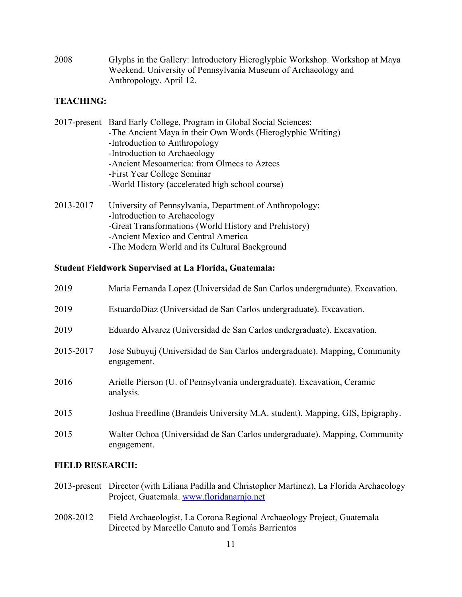2008 Glyphs in the Gallery: Introductory Hieroglyphic Workshop. Workshop at Maya Weekend. University of Pennsylvania Museum of Archaeology and Anthropology. April 12.

## **TEACHING:**

| 2017-present Bard Early College, Program in Global Social Sciences: |
|---------------------------------------------------------------------|
| -The Ancient Maya in their Own Words (Hieroglyphic Writing)         |
| -Introduction to Anthropology                                       |
| -Introduction to Archaeology                                        |
| -Ancient Mesoamerica: from Olmecs to Aztecs                         |
| -First Year College Seminar                                         |
| -World History (accelerated high school course)                     |
|                                                                     |
| $2012.2017$ II' $\sqrt{2}$ i $\sqrt{2}$ i $\sqrt{4}$ i $\sqrt{1}$   |

2013-2017 University of Pennsylvania, Department of Anthropology: -Introduction to Archaeology -Great Transformations (World History and Prehistory) -Ancient Mexico and Central America -The Modern World and its Cultural Background

### **Student Fieldwork Supervised at La Florida, Guatemala:**

| 2019      | Maria Fernanda Lopez (Universidad de San Carlos undergraduate). Excavation.               |
|-----------|-------------------------------------------------------------------------------------------|
| 2019      | EstuardoDiaz (Universidad de San Carlos undergraduate). Excavation.                       |
| 2019      | Eduardo Alvarez (Universidad de San Carlos undergraduate). Excavation.                    |
| 2015-2017 | Jose Subuyuj (Universidad de San Carlos undergraduate). Mapping, Community<br>engagement. |
| 2016      | Arielle Pierson (U. of Pennsylvania undergraduate). Excavation, Ceramic<br>analysis.      |
| 2015      | Joshua Freedline (Brandeis University M.A. student). Mapping, GIS, Epigraphy.             |
| 2015      | Walter Ochoa (Universidad de San Carlos undergraduate). Mapping, Community<br>engagement. |

## **FIELD RESEARCH:**

- 2013-present Director (with Liliana Padilla and Christopher Martinez), La Florida Archaeology Project, Guatemala. www.floridanarnjo.net
- 2008-2012 Field Archaeologist, La Corona Regional Archaeology Project, Guatemala Directed by Marcello Canuto and Tomás Barrientos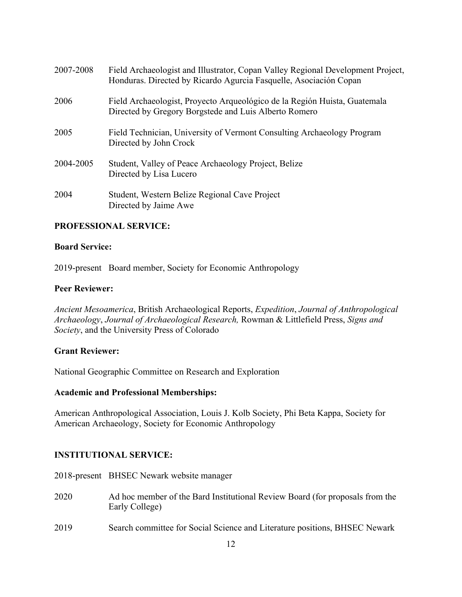| 2007-2008 | Field Archaeologist and Illustrator, Copan Valley Regional Development Project,<br>Honduras. Directed by Ricardo Agurcia Fasquelle, Asociación Copan |
|-----------|------------------------------------------------------------------------------------------------------------------------------------------------------|
| 2006      | Field Archaeologist, Proyecto Arqueológico de la Región Huista, Guatemala<br>Directed by Gregory Borgstede and Luis Alberto Romero                   |
| 2005      | Field Technician, University of Vermont Consulting Archaeology Program<br>Directed by John Crock                                                     |
| 2004-2005 | Student, Valley of Peace Archaeology Project, Belize<br>Directed by Lisa Lucero                                                                      |
| 2004      | Student, Western Belize Regional Cave Project<br>Directed by Jaime Awe                                                                               |

## **PROFESSIONAL SERVICE:**

### **Board Service:**

2019-present Board member, Society for Economic Anthropology

### **Peer Reviewer:**

*Ancient Mesoamerica*, British Archaeological Reports, *Expedition*, *Journal of Anthropological Archaeology*, *Journal of Archaeological Research,* Rowman & Littlefield Press, *Signs and Society*, and the University Press of Colorado

### **Grant Reviewer:**

National Geographic Committee on Research and Exploration

### **Academic and Professional Memberships:**

American Anthropological Association, Louis J. Kolb Society, Phi Beta Kappa, Society for American Archaeology, Society for Economic Anthropology

## **INSTITUTIONAL SERVICE:**

2018-present BHSEC Newark website manager

- 2020 Ad hoc member of the Bard Institutional Review Board (for proposals from the Early College)
- 2019 Search committee for Social Science and Literature positions, BHSEC Newark